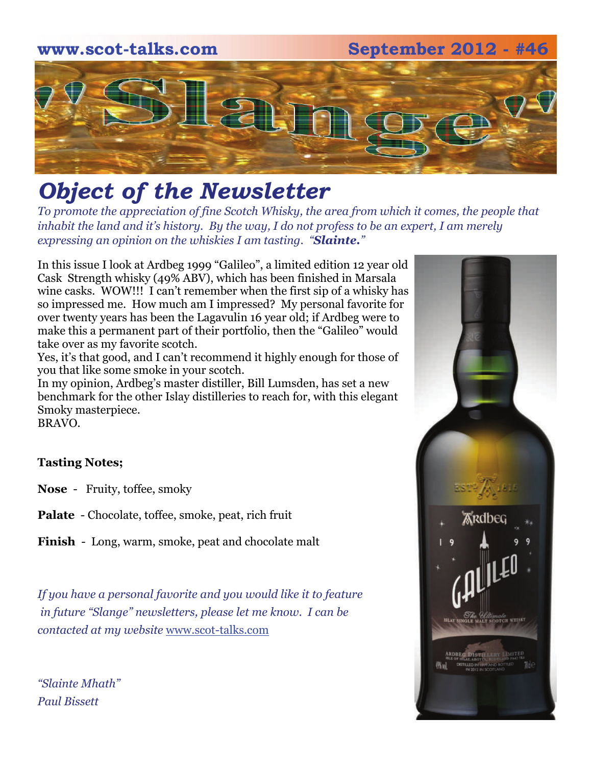

## *Object of the Newsletter*

*To promote the appreciation of fine Scotch Whisky, the area from which it comes, the people that inhabit the land and it's history. By the way, I do not profess to be an expert, I am merely expressing an opinion on the whiskies I am tasting. "Slainte."* 

In this issue I look at Ardbeg 1999 "Galileo", a limited edition 12 year old Cask Strength whisky (49% ABV), which has been finished in Marsala wine casks. WOW!!! I can't remember when the first sip of a whisky has so impressed me. How much am I impressed? My personal favorite for over twenty years has been the Lagavulin 16 year old; if Ardbeg were to make this a permanent part of their portfolio, then the "Galileo" would take over as my favorite scotch.

Yes, it's that good, and I can't recommend it highly enough for those of you that like some smoke in your scotch.

In my opinion, Ardbeg's master distiller, Bill Lumsden, has set a new benchmark for the other Islay distilleries to reach for, with this elegant Smoky masterpiece. BRAVO.

#### **Tasting Notes;**

**Nose** - Fruity, toffee, smoky

- **Palate**  Chocolate, toffee, smoke, peat, rich fruit
- **Finish**  Long, warm, smoke, peat and chocolate malt

*If you have a personal favorite and you would like it to feature in future "Slange" newsletters, please let me know. I can be contacted at my website* [www.scot-talks.com](http://www.scot-talks.com/default.html)

*"Slainte Mhath" Paul Bissett*

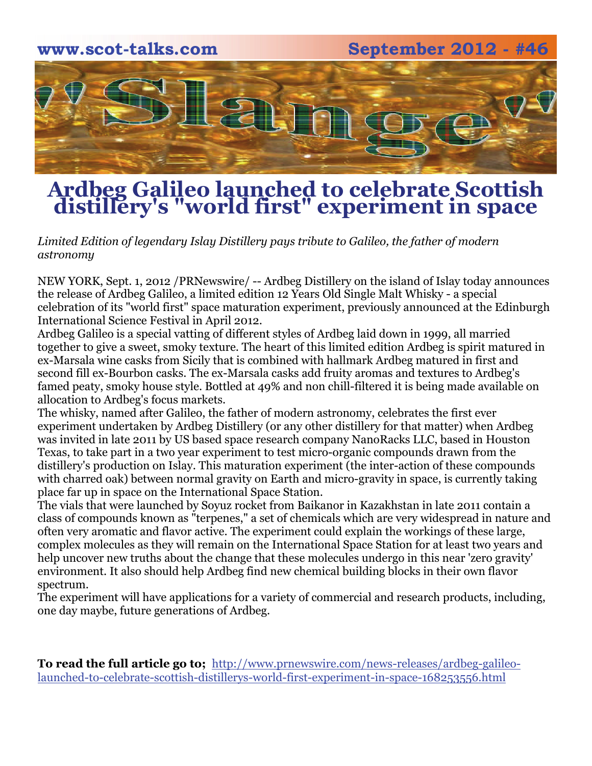

### **Ardbeg Galileo launched to celebrate Scottish distillery's "world first" experiment in space**

*Limited Edition of legendary Islay Distillery pays tribute to Galileo, the father of modern astronomy* 

NEW YORK, Sept. 1, 2012 /PRNewswire/ -- Ardbeg Distillery on the island of Islay today announces the release of Ardbeg Galileo, a limited edition 12 Years Old Single Malt Whisky - a special celebration of its "world first" space maturation experiment, previously announced at the Edinburgh International Science Festival in April 2012.

Ardbeg Galileo is a special vatting of different styles of Ardbeg laid down in 1999, all married together to give a sweet, smoky texture. The heart of this limited edition Ardbeg is spirit matured in ex-Marsala wine casks from Sicily that is combined with hallmark Ardbeg matured in first and second fill ex-Bourbon casks. The ex-Marsala casks add fruity aromas and textures to Ardbeg's famed peaty, smoky house style. Bottled at 49% and non chill-filtered it is being made available on allocation to Ardbeg's focus markets.

The whisky, named after Galileo, the father of modern astronomy, celebrates the first ever experiment undertaken by Ardbeg Distillery (or any other distillery for that matter) when Ardbeg was invited in late 2011 by US based space research company NanoRacks LLC, based in Houston Texas, to take part in a two year experiment to test micro-organic compounds drawn from the distillery's production on Islay. This maturation experiment (the inter-action of these compounds with charred oak) between normal gravity on Earth and micro-gravity in space, is currently taking place far up in space on the International Space Station.

The vials that were launched by Soyuz rocket from Baikanor in Kazakhstan in late 2011 contain a class of compounds known as "terpenes," a set of chemicals which are very widespread in nature and often very aromatic and flavor active. The experiment could explain the workings of these large, complex molecules as they will remain on the International Space Station for at least two years and help uncover new truths about the change that these molecules undergo in this near 'zero gravity' environment. It also should help Ardbeg find new chemical building blocks in their own flavor spectrum.

The experiment will have applications for a variety of commercial and research products, including, one day maybe, future generations of Ardbeg.

**To read the full article go to;** [http://www.prnewswire.com/news-releases/ardbeg-galileo](http://www.prnewswire.com/news-releases/ardbeg-galileo-launched-to-celebrate-scottish-distillerys-world-first-experiment-in-space-168253556.html)[launched-to-celebrate-scottish-distillerys-world-first-experiment-in-space-168253556.html](http://www.prnewswire.com/news-releases/ardbeg-galileo-launched-to-celebrate-scottish-distillerys-world-first-experiment-in-space-168253556.html)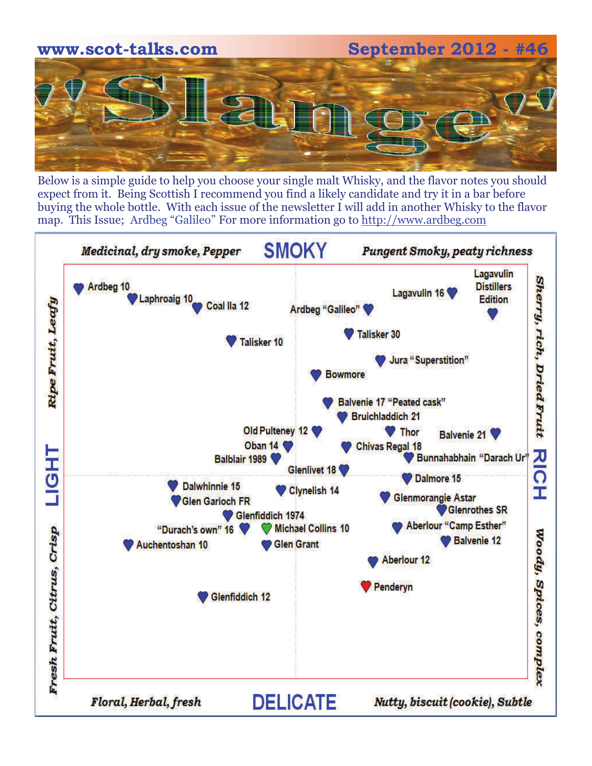

Below is a simple guide to help you choose your single malt Whisky, and the flavor notes you should expect from it. Being Scottish I recommend you find a likely candidate and try it in a bar before buying the whole bottle. With each issue of the newsletter I will add in another Whisky to the flavor map. This Issue; Ardbeg "Galileo" For more information go to [http://www.ardbeg.com](http://www.ardbeg.com/)

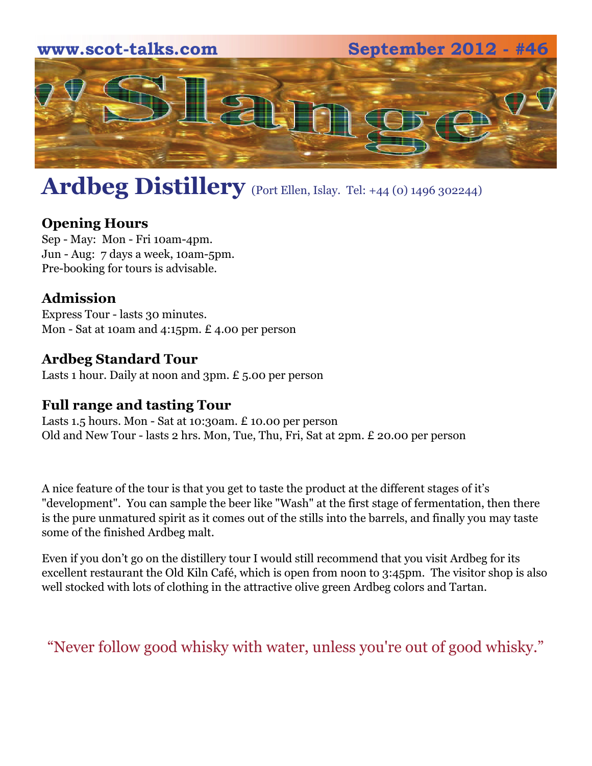

## Ardbeg Distillery (Port Ellen, Islay. Tel: +44 (0) 1496 302244)

### **Opening Hours**

Sep - May: Mon - Fri 10am-4pm. Jun - Aug: 7 days a week, 10am-5pm. Pre-booking for tours is advisable.

### **Admission**

Express Tour - lasts 30 minutes. Mon - Sat at 10am and 4:15pm. £ 4.00 per person

#### **Ardbeg Standard Tour**

Lasts 1 hour. Daily at noon and 3pm. £ 5.00 per person

#### **Full range and tasting Tour**

Lasts 1.5 hours. Mon - Sat at 10:30am. £ 10.00 per person Old and New Tour - lasts 2 hrs. Mon, Tue, Thu, Fri, Sat at 2pm. £ 20.00 per person

A nice feature of the tour is that you get to taste the product at the different stages of it's "development". You can sample the beer like "Wash" at the first stage of fermentation, then there is the pure unmatured spirit as it comes out of the stills into the barrels, and finally you may taste some of the finished Ardbeg malt.

Even if you don't go on the distillery tour I would still recommend that you visit Ardbeg for its excellent restaurant the Old Kiln Café, which is open from noon to 3:45pm. The visitor shop is also well stocked with lots of clothing in the attractive olive green Ardbeg colors and Tartan.

"Never follow good whisky with water, unless you're out of good whisky."